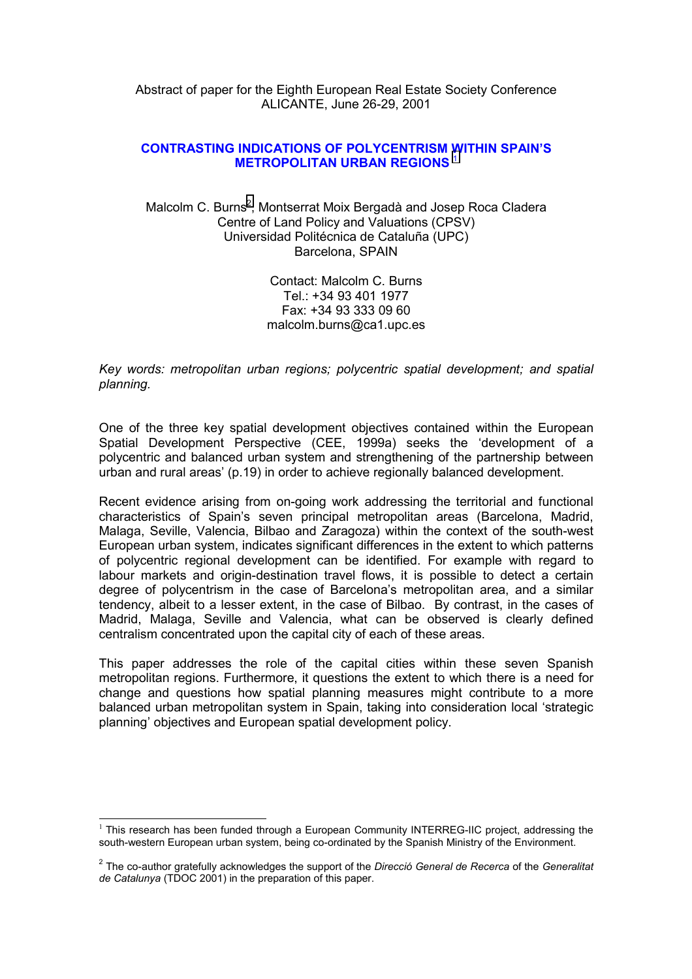Abstract of paper for the Eighth European Real Estate Society Conference ALICANTE, June 26-29, 2001

### **CONTRASTING INDICATIONS OF POLYCENTRISM WITHIN SPAIN'S METROPOLITAN URBAN REGIONS** <sup>1</sup>

Malcolm C. Burns<sup>2</sup>, Montserrat Moix Bergadà and Josep Roca Cladera Centre of Land Policy and Valuations (CPSV) Universidad Politécnica de Cataluña (UPC) Barcelona, SPAIN

> Contact: Malcolm C. Burns Tel.: +34 93 401 1977 Fax: +34 93 333 09 60 malcolm.burns@ca1.upc.es

*Key words: metropolitan urban regions; polycentric spatial development; and spatial planning.*

One of the three key spatial development objectives contained within the European Spatial Development Perspective (CEE, 1999a) seeks the 'development of a polycentric and balanced urban system and strengthening of the partnership between urban and rural areas' (p.19) in order to achieve regionally balanced development.

Recent evidence arising from on-going work addressing the territorial and functional characteristics of Spain's seven principal metropolitan areas (Barcelona, Madrid, Malaga, Seville, Valencia, Bilbao and Zaragoza) within the context of the south-west European urban system, indicates significant differences in the extent to which patterns of polycentric regional development can be identified. For example with regard to labour markets and origin-destination travel flows, it is possible to detect a certain degree of polycentrism in the case of Barcelona's metropolitan area, and a similar tendency, albeit to a lesser extent, in the case of Bilbao. By contrast, in the cases of Madrid, Malaga, Seville and Valencia, what can be observed is clearly defined centralism concentrated upon the capital city of each of these areas.

This paper addresses the role of the capital cities within these seven Spanish metropolitan regions. Furthermore, it questions the extent to which there is a need for change and questions how spatial planning measures might contribute to a more balanced urban metropolitan system in Spain, taking into consideration local 'strategic planning' objectives and European spatial development policy.

 $\overline{a}$ 

 $1$  This research has been funded through a European Community INTERREG-IIC project, addressing the south-western European urban system, being co-ordinated by the Spanish Ministry of the Environment.

<sup>2</sup> The co-author gratefully acknowledges the support of the *Direcció General de Recerca* of the *Generalitat de Catalunya* (TDOC 2001) in the preparation of this paper.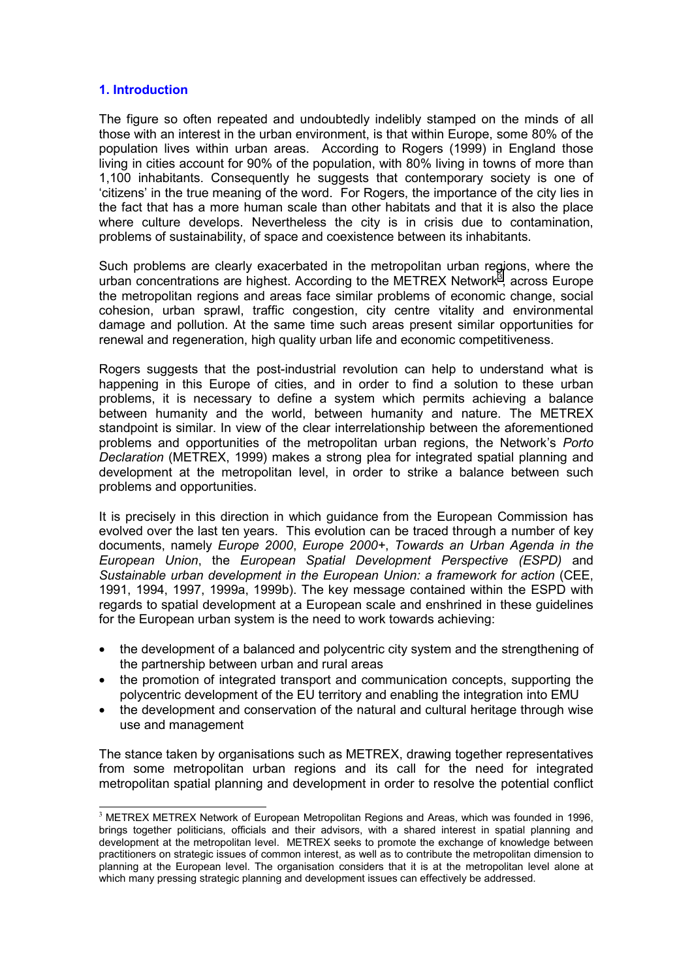### **1. Introduction**

 $\overline{\phantom{a}}$ 

The figure so often repeated and undoubtedly indelibly stamped on the minds of all those with an interest in the urban environment, is that within Europe, some 80% of the population lives within urban areas. According to Rogers (1999) in England those living in cities account for 90% of the population, with 80% living in towns of more than 1,100 inhabitants. Consequently he suggests that contemporary society is one of 'citizens' in the true meaning of the word. For Rogers, the importance of the city lies in the fact that has a more human scale than other habitats and that it is also the place where culture develops. Nevertheless the city is in crisis due to contamination, problems of sustainability, of space and coexistence between its inhabitants.

Such problems are clearly exacerbated in the metropolitan urban regions, where the urban concentrations are highest. According to the METREX Network<sup>3</sup>, across Europe the metropolitan regions and areas face similar problems of economic change, social cohesion, urban sprawl, traffic congestion, city centre vitality and environmental damage and pollution. At the same time such areas present similar opportunities for renewal and regeneration, high quality urban life and economic competitiveness.

Rogers suggests that the post-industrial revolution can help to understand what is happening in this Europe of cities, and in order to find a solution to these urban problems, it is necessary to define a system which permits achieving a balance between humanity and the world, between humanity and nature. The METREX standpoint is similar. In view of the clear interrelationship between the aforementioned problems and opportunities of the metropolitan urban regions, the Network's *Porto Declaration* (METREX, 1999) makes a strong plea for integrated spatial planning and development at the metropolitan level, in order to strike a balance between such problems and opportunities.

It is precisely in this direction in which guidance from the European Commission has evolved over the last ten years. This evolution can be traced through a number of key documents, namely *Europe 2000*, *Europe 2000+*, *Towards an Urban Agenda in the European Union*, the *European Spatial Development Perspective (ESPD)* and *Sustainable urban development in the European Union: a framework for action* (CEE, 1991, 1994, 1997, 1999a, 1999b). The key message contained within the ESPD with regards to spatial development at a European scale and enshrined in these guidelines for the European urban system is the need to work towards achieving:

- the development of a balanced and polycentric city system and the strengthening of the partnership between urban and rural areas
- the promotion of integrated transport and communication concepts, supporting the polycentric development of the EU territory and enabling the integration into EMU
- the development and conservation of the natural and cultural heritage through wise use and management

The stance taken by organisations such as METREX, drawing together representatives from some metropolitan urban regions and its call for the need for integrated metropolitan spatial planning and development in order to resolve the potential conflict

<sup>&</sup>lt;sup>3</sup> METREX METREX Network of European Metropolitan Regions and Areas, which was founded in 1996, brings together politicians, officials and their advisors, with a shared interest in spatial planning and development at the metropolitan level. METREX seeks to promote the exchange of knowledge between practitioners on strategic issues of common interest, as well as to contribute the metropolitan dimension to planning at the European level. The organisation considers that it is at the metropolitan level alone at which many pressing strategic planning and development issues can effectively be addressed.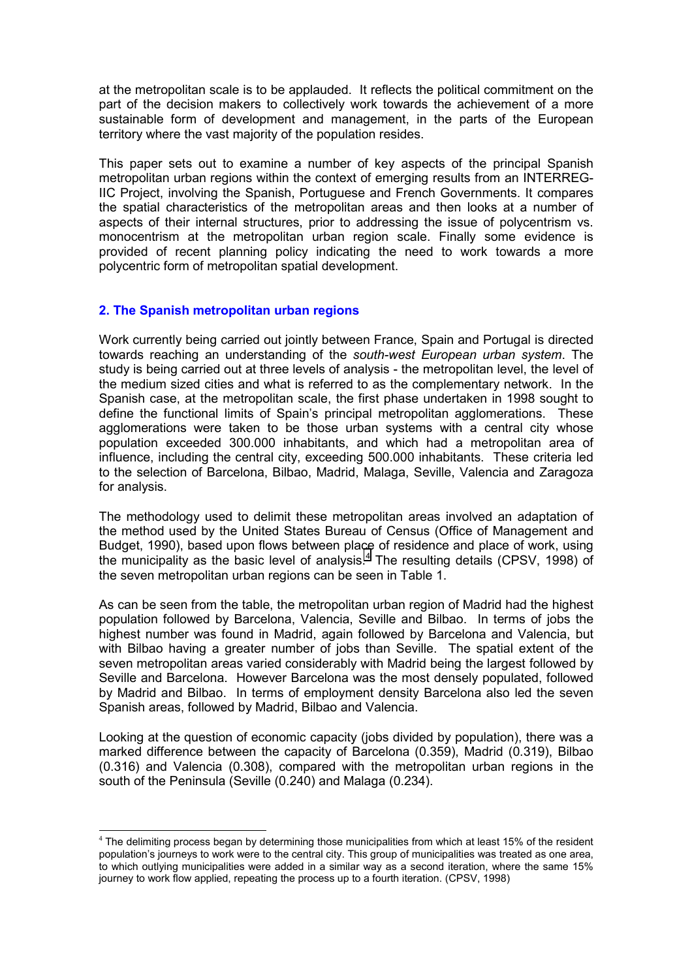at the metropolitan scale is to be applauded. It reflects the political commitment on the part of the decision makers to collectively work towards the achievement of a more sustainable form of development and management, in the parts of the European territory where the vast majority of the population resides.

This paper sets out to examine a number of key aspects of the principal Spanish metropolitan urban regions within the context of emerging results from an INTERREG-IIC Project, involving the Spanish, Portuguese and French Governments. It compares the spatial characteristics of the metropolitan areas and then looks at a number of aspects of their internal structures, prior to addressing the issue of polycentrism vs. monocentrism at the metropolitan urban region scale. Finally some evidence is provided of recent planning policy indicating the need to work towards a more polycentric form of metropolitan spatial development.

## **2. The Spanish metropolitan urban regions**

 $\overline{\phantom{a}}$ 

Work currently being carried out jointly between France, Spain and Portugal is directed towards reaching an understanding of the *south-west European urban system*. The study is being carried out at three levels of analysis - the metropolitan level, the level of the medium sized cities and what is referred to as the complementary network. In the Spanish case, at the metropolitan scale, the first phase undertaken in 1998 sought to define the functional limits of Spain's principal metropolitan agglomerations. These agglomerations were taken to be those urban systems with a central city whose population exceeded 300.000 inhabitants, and which had a metropolitan area of influence, including the central city, exceeding 500.000 inhabitants. These criteria led to the selection of Barcelona, Bilbao, Madrid, Malaga, Seville, Valencia and Zaragoza for analysis.

The methodology used to delimit these metropolitan areas involved an adaptation of the method used by the United States Bureau of Census (Office of Management and Budget, 1990), based upon flows between place of residence and place of work, using the municipality as the basic level of analysis. $4$  The resulting details (CPSV, 1998) of the seven metropolitan urban regions can be seen in Table 1.

As can be seen from the table, the metropolitan urban region of Madrid had the highest population followed by Barcelona, Valencia, Seville and Bilbao. In terms of jobs the highest number was found in Madrid, again followed by Barcelona and Valencia, but with Bilbao having a greater number of jobs than Seville. The spatial extent of the seven metropolitan areas varied considerably with Madrid being the largest followed by Seville and Barcelona. However Barcelona was the most densely populated, followed by Madrid and Bilbao. In terms of employment density Barcelona also led the seven Spanish areas, followed by Madrid, Bilbao and Valencia.

Looking at the question of economic capacity (jobs divided by population), there was a marked difference between the capacity of Barcelona (0.359), Madrid (0.319), Bilbao (0.316) and Valencia (0.308), compared with the metropolitan urban regions in the south of the Peninsula (Seville (0.240) and Malaga (0.234).

<sup>&</sup>lt;sup>4</sup> The delimiting process began by determining those municipalities from which at least 15% of the resident population's journeys to work were to the central city. This group of municipalities was treated as one area, to which outlying municipalities were added in a similar way as a second iteration, where the same 15% journey to work flow applied, repeating the process up to a fourth iteration. (CPSV, 1998)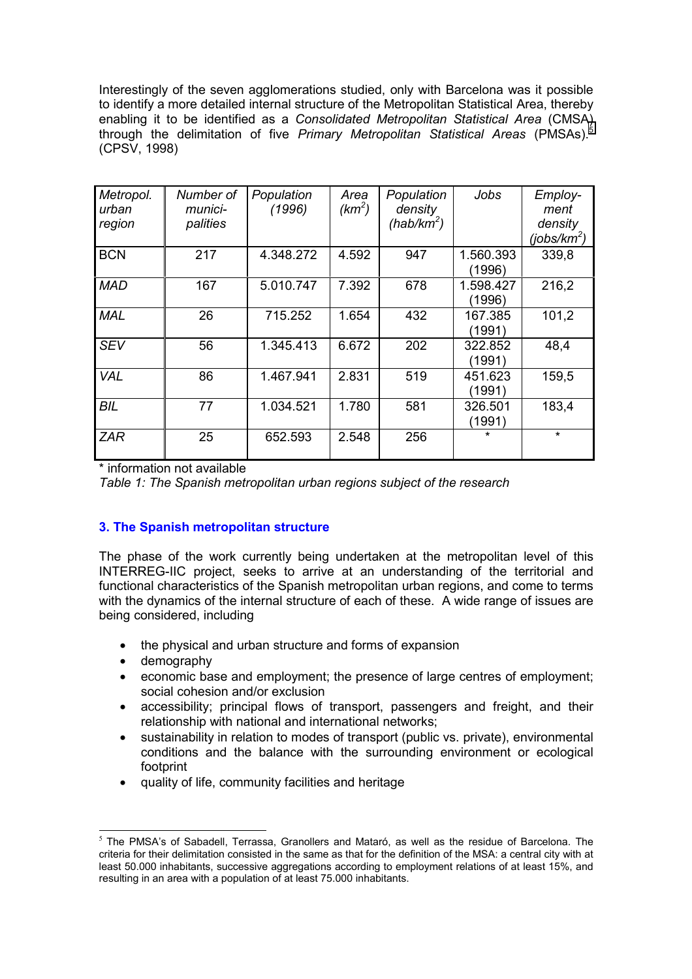Interestingly of the seven agglomerations studied, only with Barcelona was it possible to identify a more detailed internal structure of the Metropolitan Statistical Area, thereby enabling it to be identified as a *Consolidated Metropolitan Statistical Area* (CMSA) through the delimitation of five *Primary Metropolitan Statistical Areas* (PMSAs).<sup>5</sup> (CPSV, 1998)

| Metropol.<br>urban<br>region | Number of<br>munici-<br>palities | Population<br>(1996) | Area<br>$(km^2)$ | Population<br>density<br>$(hab/km^2)$ | Jobs                | Employ-<br>ment<br>density<br>(jobs/km <sup>2</sup> ) |
|------------------------------|----------------------------------|----------------------|------------------|---------------------------------------|---------------------|-------------------------------------------------------|
| <b>BCN</b>                   | 217                              | 4.348.272            | 4.592            | 947                                   | 1.560.393<br>(1996) | 339,8                                                 |
| <b>MAD</b>                   | 167                              | 5.010.747            | 7.392            | 678                                   | 1.598.427<br>(1996) | 216,2                                                 |
| <b>MAL</b>                   | 26                               | 715.252              | 1.654            | 432                                   | 167.385<br>(1991)   | 101,2                                                 |
| <b>SEV</b>                   | 56                               | 1.345.413            | 6.672            | 202                                   | 322.852<br>(1991)   | 48,4                                                  |
| <b>VAL</b>                   | 86                               | 1.467.941            | 2.831            | 519                                   | 451.623<br>(1991)   | 159,5                                                 |
| <b>BIL</b>                   | 77                               | 1.034.521            | 1.780            | 581                                   | 326.501<br>(1991)   | 183,4                                                 |
| <b>ZAR</b>                   | 25                               | 652.593              | 2.548            | 256                                   | $\star$             | $\star$                                               |

\* information not available

*Table 1: The Spanish metropolitan urban regions subject of the research*

# **3. The Spanish metropolitan structure**

The phase of the work currently being undertaken at the metropolitan level of this INTERREG-IIC project, seeks to arrive at an understanding of the territorial and functional characteristics of the Spanish metropolitan urban regions, and come to terms with the dynamics of the internal structure of each of these. A wide range of issues are being considered, including

- the physical and urban structure and forms of expansion
- demography
- economic base and employment; the presence of large centres of employment; social cohesion and/or exclusion
- accessibility; principal flows of transport, passengers and freight, and their relationship with national and international networks;
- sustainability in relation to modes of transport (public vs. private), environmental conditions and the balance with the surrounding environment or ecological footprint
- quality of life, community facilities and heritage

 $\overline{\phantom{a}}$  $<sup>5</sup>$  The PMSA's of Sabadell, Terrassa, Granollers and Mataró, as well as the residue of Barcelona. The</sup> criteria for their delimitation consisted in the same as that for the definition of the MSA: a central city with at least 50.000 inhabitants, successive aggregations according to employment relations of at least 15%, and resulting in an area with a population of at least 75.000 inhabitants.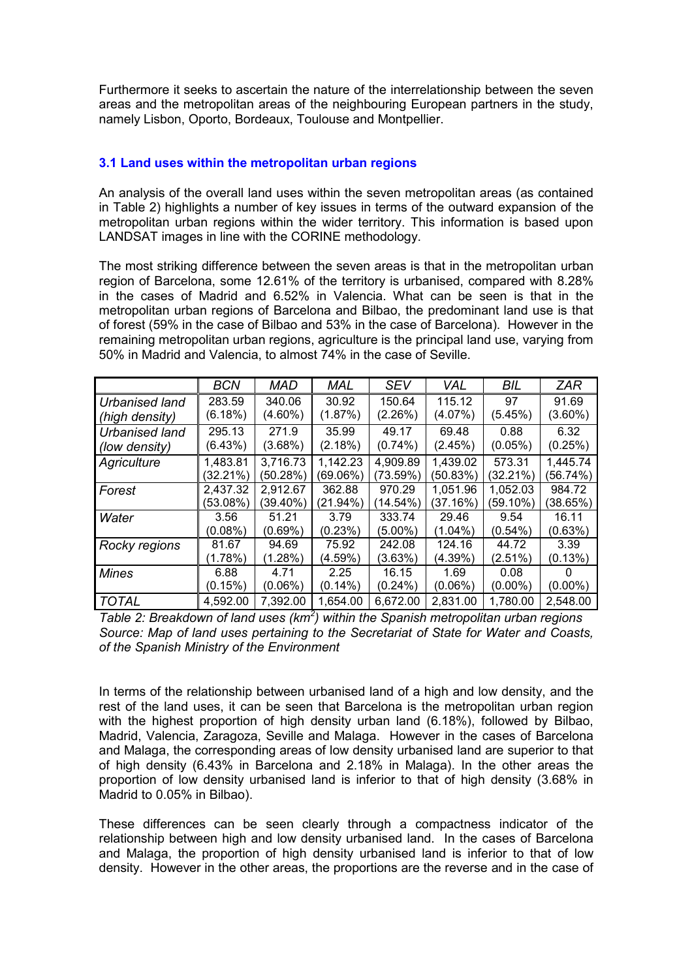Furthermore it seeks to ascertain the nature of the interrelationship between the seven areas and the metropolitan areas of the neighbouring European partners in the study, namely Lisbon, Oporto, Bordeaux, Toulouse and Montpellier.

### **3.1 Land uses within the metropolitan urban regions**

An analysis of the overall land uses within the seven metropolitan areas (as contained in Table 2) highlights a number of key issues in terms of the outward expansion of the metropolitan urban regions within the wider territory. This information is based upon LANDSAT images in line with the CORINE methodology.

The most striking difference between the seven areas is that in the metropolitan urban region of Barcelona, some 12.61% of the territory is urbanised, compared with 8.28% in the cases of Madrid and 6.52% in Valencia. What can be seen is that in the metropolitan urban regions of Barcelona and Bilbao, the predominant land use is that of forest (59% in the case of Bilbao and 53% in the case of Barcelona). However in the remaining metropolitan urban regions, agriculture is the principal land use, varying from 50% in Madrid and Valencia, to almost 74% in the case of Seville.

|                       | <b>BCN</b>  | MAD        | MAL      | <b>SEV</b> | VAL        | <b>BIL</b> | ZAR        |
|-----------------------|-------------|------------|----------|------------|------------|------------|------------|
| <b>Urbanised land</b> | 283.59      | 340.06     | 30.92    | 150.64     | 115.12     | 97         | 91.69      |
| (high density)        | (6.18%)     | $(4.60\%)$ | (1.87%)  | (2.26%)    | (4.07%)    | (5.45%)    | $(3.60\%)$ |
| <b>Urbanised land</b> | 295.13      | 271.9      | 35.99    | 49.17      | 69.48      | 0.88       | 6.32       |
| (low density)         | (6.43%)     | (3.68%)    | (2.18%)  | $(0.74\%)$ | (2.45%)    | $(0.05\%)$ | (0.25%)    |
| Agriculture           | 1,483.81    | 3,716.73   | 1,142.23 | 4,909.89   | 1,439.02   | 573.31     | 1,445.74   |
|                       | $(32.21\%)$ | (50.28%)   | (69.06%) | (73.59%)   | (50.83%)   | (32.21%)   | (56.74%)   |
| Forest                | 2,437.32    | 2,912.67   | 362.88   | 970.29     | 1,051.96   | 1,052.03   | 984.72     |
|                       | (53.08%)    | (39.40%)   | (21.94%) | (14.54%)   | (37.16%)   | (59.10%)   | (38.65%)   |
| Water                 | 3.56        | 51.21      | 3.79     | 333.74     | 29.46      | 9.54       | 16.11      |
|                       | $(0.08\%)$  | $(0.69\%)$ | (0.23%)  | (5.00%)    | (1.04%)    | $(0.54\%)$ | (0.63%)    |
| Rocky regions         | 81.67       | 94.69      | 75.92    | 242.08     | 124.16     | 44.72      | 3.39       |
|                       | (1.78%)     | (1.28%)    | (4.59%)  | (3.63%)    | (4.39%)    | (2.51%)    | (0.13%)    |
| <b>Mines</b>          | 6.88        | 4.71       | 2.25     | 16.15      | 1.69       | 0.08       |            |
|                       | (0.15%)     | $(0.06\%)$ | (0.14%)  | $(0.24\%)$ | $(0.06\%)$ | $(0.00\%)$ | $(0.00\%)$ |
| <b>TOTAL</b>          | 4,592.00    | 7,392.00   | 1,654.00 | 6,672.00   | 2,831.00   | 1,780.00   | 2,548.00   |

*Table 2: Breakdown of land uses (km<sup>2</sup> ) within the Spanish metropolitan urban regions Source: Map of land uses pertaining to the Secretariat of State for Water and Coasts, of the Spanish Ministry of the Environment*

In terms of the relationship between urbanised land of a high and low density, and the rest of the land uses, it can be seen that Barcelona is the metropolitan urban region with the highest proportion of high density urban land (6.18%), followed by Bilbao, Madrid, Valencia, Zaragoza, Seville and Malaga. However in the cases of Barcelona and Malaga, the corresponding areas of low density urbanised land are superior to that of high density (6.43% in Barcelona and 2.18% in Malaga). In the other areas the proportion of low density urbanised land is inferior to that of high density (3.68% in Madrid to 0.05% in Bilbao).

These differences can be seen clearly through a compactness indicator of the relationship between high and low density urbanised land. In the cases of Barcelona and Malaga, the proportion of high density urbanised land is inferior to that of low density. However in the other areas, the proportions are the reverse and in the case of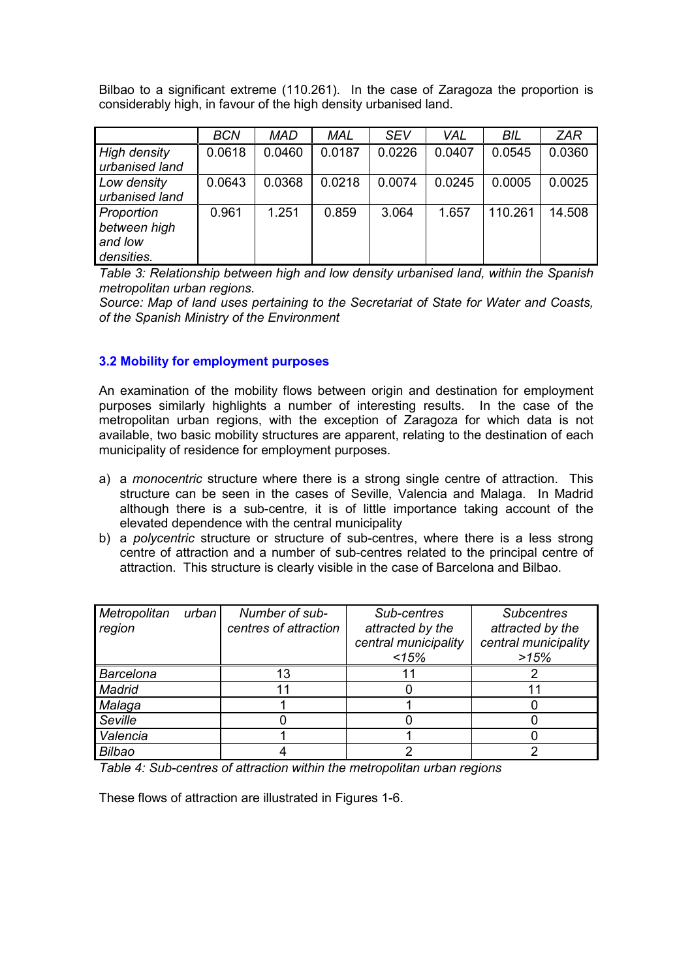Bilbao to a significant extreme (110.261). In the case of Zaragoza the proportion is considerably high, in favour of the high density urbanised land.

|                                                     | <b>BCN</b> | <b>MAD</b> | <b>MAL</b> | <b>SEV</b> | <b>VAL</b> | BIL     | <b>ZAR</b> |
|-----------------------------------------------------|------------|------------|------------|------------|------------|---------|------------|
| <b>High density</b><br>urbanised land               | 0.0618     | 0.0460     | 0.0187     | 0.0226     | 0.0407     | 0.0545  | 0.0360     |
| Low density<br>urbanised land                       | 0.0643     | 0.0368     | 0.0218     | 0.0074     | 0.0245     | 0.0005  | 0.0025     |
| Proportion<br>between high<br>and low<br>densities. | 0.961      | 1.251      | 0.859      | 3.064      | 1.657      | 110.261 | 14.508     |

*Table 3: Relationship between high and low density urbanised land, within the Spanish metropolitan urban regions.*

*Source: Map of land uses pertaining to the Secretariat of State for Water and Coasts, of the Spanish Ministry of the Environment*

### **3.2 Mobility for employment purposes**

An examination of the mobility flows between origin and destination for employment purposes similarly highlights a number of interesting results. In the case of the metropolitan urban regions, with the exception of Zaragoza for which data is not available, two basic mobility structures are apparent, relating to the destination of each municipality of residence for employment purposes.

- a) a *monocentric* structure where there is a strong single centre of attraction. This structure can be seen in the cases of Seville, Valencia and Malaga. In Madrid although there is a sub-centre, it is of little importance taking account of the elevated dependence with the central municipality
- b) a *polycentric* structure or structure of sub-centres, where there is a less strong centre of attraction and a number of sub-centres related to the principal centre of attraction. This structure is clearly visible in the case of Barcelona and Bilbao.

| Metropolitan<br>region | urban | Number of sub-<br>centres of attraction | Sub-centres<br>attracted by the<br>central municipality<br>15% | <b>Subcentres</b><br>attracted by the<br>central municipality<br>>15% |
|------------------------|-------|-----------------------------------------|----------------------------------------------------------------|-----------------------------------------------------------------------|
| <b>Barcelona</b>       |       | 13                                      |                                                                |                                                                       |
| Madrid                 |       | 11                                      |                                                                |                                                                       |
| Malaga                 |       |                                         |                                                                |                                                                       |
| Seville                |       |                                         |                                                                |                                                                       |
| Valencia               |       |                                         |                                                                |                                                                       |
| <b>Bilbao</b>          |       |                                         |                                                                |                                                                       |

*Table 4: Sub-centres of attraction within the metropolitan urban regions*

These flows of attraction are illustrated in Figures 1-6.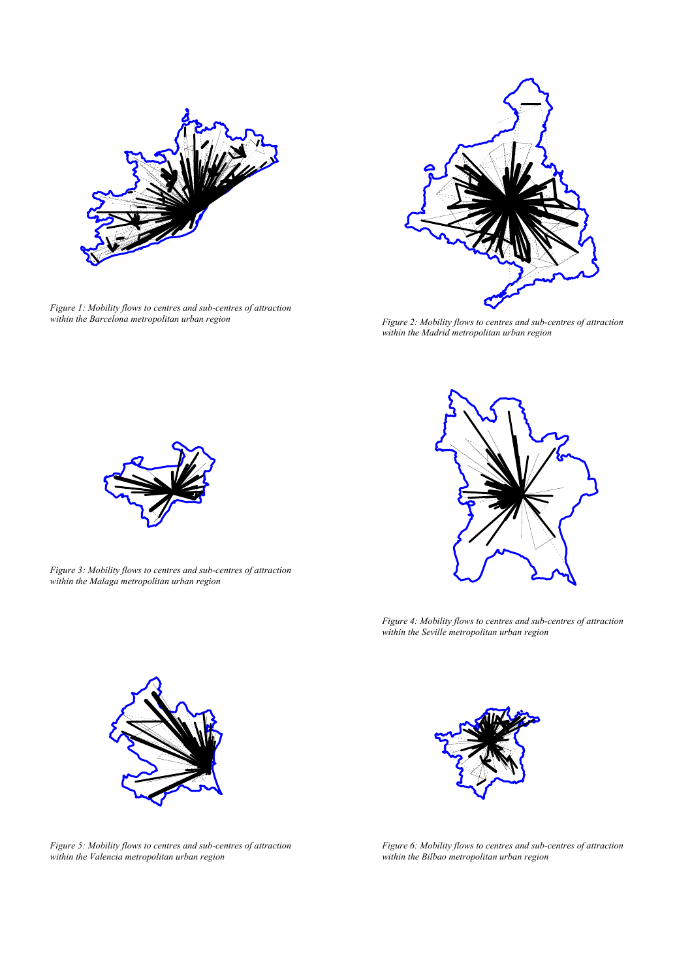

*Figure 1: Mobility flows to centres and sub-centres of attraction within the Barcelona metropolitan urban region Figure 2: Mobility flows to centres and sub-centres of attraction*



*within the Madrid metropolitan urban region*



*Figure 3: Mobility flows to centres and sub-centres of attraction within the Malaga metropolitan urban region*



*Figure 4: Mobility flows to centres and sub-centres of attraction within the Seville metropolitan urban region*





*Figure 6: Mobility flows to centres and sub-centres of attraction within the Bilbao metropolitan urban region*

*Figure 5: Mobility flows to centres and sub-centres of attraction within the Valencia metropolitan urban region*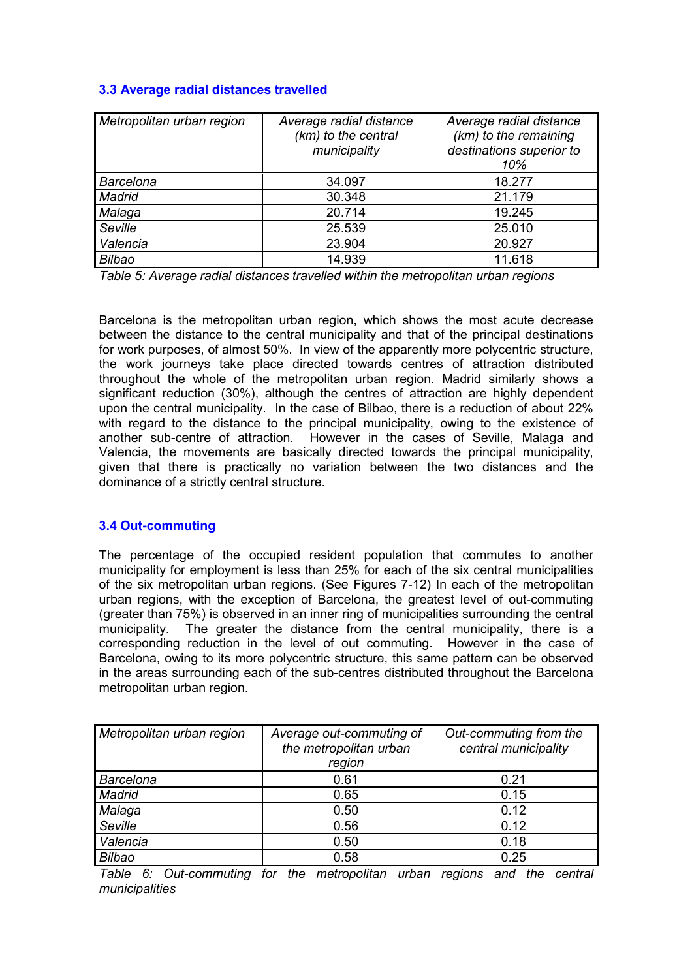## **3.3 Average radial distances travelled**

| Metropolitan urban region | Average radial distance<br>(km) to the central<br>municipality | Average radial distance<br>(km) to the remaining<br>destinations superior to<br>10% |
|---------------------------|----------------------------------------------------------------|-------------------------------------------------------------------------------------|
| <b>Barcelona</b>          | 34.097                                                         | 18.277                                                                              |
| Madrid                    | 30.348                                                         | 21.179                                                                              |
| Malaga                    | 20.714                                                         | 19.245                                                                              |
| Seville                   | 25.539                                                         | 25.010                                                                              |
| Valencia                  | 23.904                                                         | 20.927                                                                              |
| Bilbao                    | 14.939                                                         | 11.618                                                                              |

*Table 5: Average radial distances travelled within the metropolitan urban regions*

Barcelona is the metropolitan urban region, which shows the most acute decrease between the distance to the central municipality and that of the principal destinations for work purposes, of almost 50%. In view of the apparently more polycentric structure, the work journeys take place directed towards centres of attraction distributed throughout the whole of the metropolitan urban region. Madrid similarly shows a significant reduction (30%), although the centres of attraction are highly dependent upon the central municipality. In the case of Bilbao, there is a reduction of about 22% with regard to the distance to the principal municipality, owing to the existence of another sub-centre of attraction. However in the cases of Seville, Malaga and Valencia, the movements are basically directed towards the principal municipality, given that there is practically no variation between the two distances and the dominance of a strictly central structure.

# **3.4 Out-commuting**

The percentage of the occupied resident population that commutes to another municipality for employment is less than 25% for each of the six central municipalities of the six metropolitan urban regions. (See Figures 7-12) In each of the metropolitan urban regions, with the exception of Barcelona, the greatest level of out-commuting (greater than 75%) is observed in an inner ring of municipalities surrounding the central municipality. The greater the distance from the central municipality, there is a corresponding reduction in the level of out commuting. However in the case of Barcelona, owing to its more polycentric structure, this same pattern can be observed in the areas surrounding each of the sub-centres distributed throughout the Barcelona metropolitan urban region.

| Metropolitan urban region | Average out-commuting of<br>the metropolitan urban<br>region | Out-commuting from the<br>central municipality |
|---------------------------|--------------------------------------------------------------|------------------------------------------------|
| <b>Barcelona</b>          | 0.61                                                         | 0.21                                           |
| Madrid                    | 0.65                                                         | 0.15                                           |
| Malaga                    | 0.50                                                         | 0.12                                           |
| Seville                   | 0.56                                                         | 0.12                                           |
| Valencia                  | 0.50                                                         | 0.18                                           |
| <b>Bilbao</b>             | 0.58                                                         | 0.25                                           |

*Table 6: Out-commuting for the metropolitan urban regions and the central municipalities*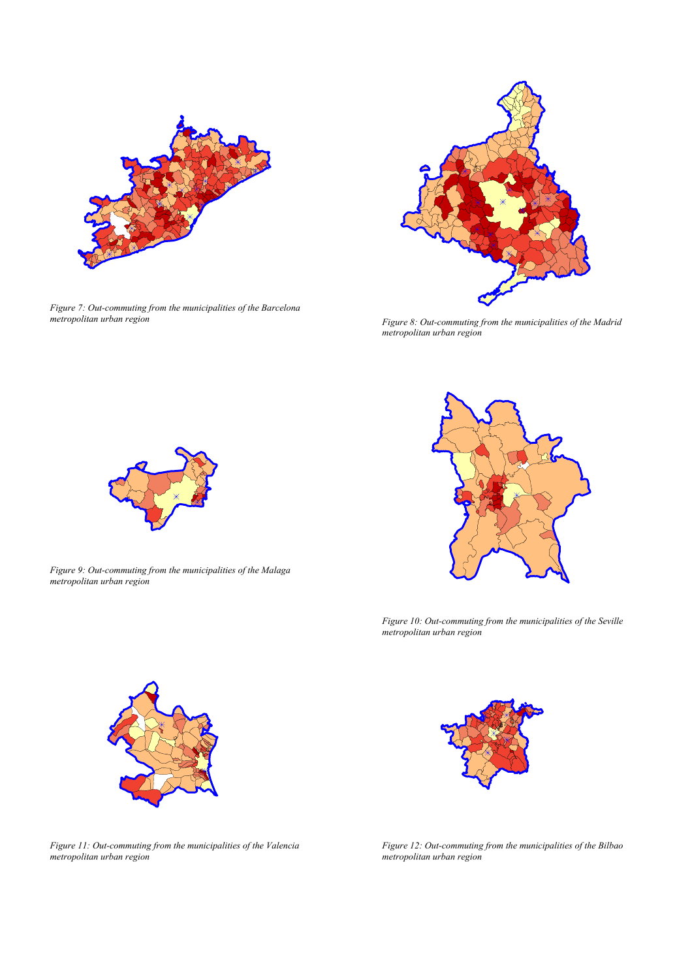

*Figure 7: Out-commuting from the municipalities of the Barcelona metropolitan urban region Figure 8: Out-commuting from the municipalities of the Madrid*



*metropolitan urban region*



*Figure 9: Out-commuting from the municipalities of the Malaga*

*metropolitan urban region*

*Figure 10: Out-commuting from the municipalities of the Seville metropolitan urban region*





*Figure 11: Out-commuting from the municipalities of the Valencia metropolitan urban region*

*Figure 12: Out-commuting from the municipalities of the Bilbao metropolitan urban region*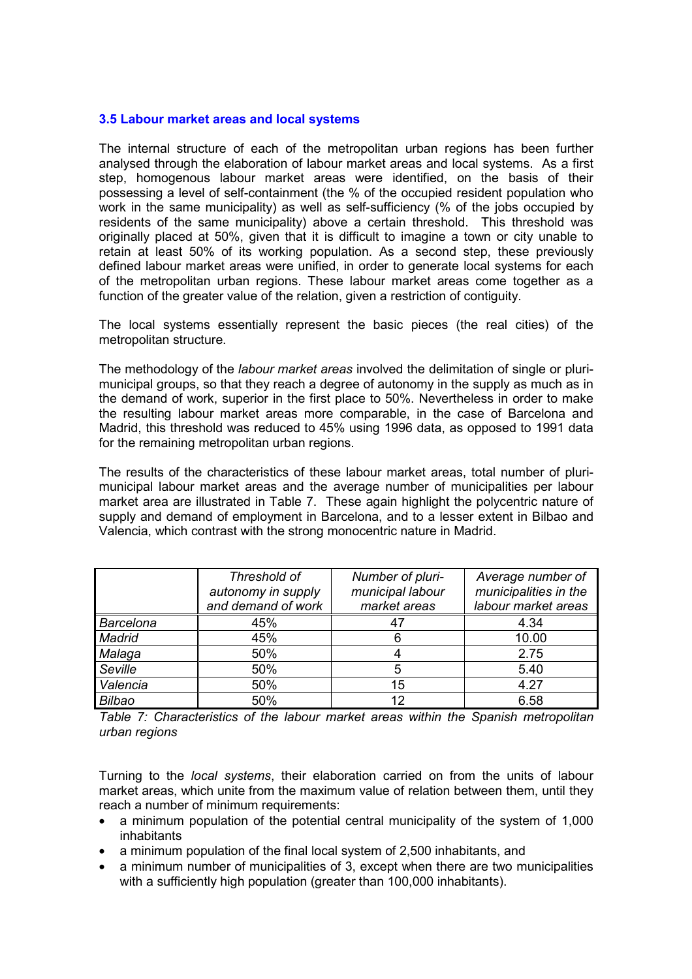### **3.5 Labour market areas and local systems**

The internal structure of each of the metropolitan urban regions has been further analysed through the elaboration of labour market areas and local systems. As a first step, homogenous labour market areas were identified, on the basis of their possessing a level of self-containment (the % of the occupied resident population who work in the same municipality) as well as self-sufficiency (% of the jobs occupied by residents of the same municipality) above a certain threshold. This threshold was originally placed at 50%, given that it is difficult to imagine a town or city unable to retain at least 50% of its working population. As a second step, these previously defined labour market areas were unified, in order to generate local systems for each of the metropolitan urban regions. These labour market areas come together as a function of the greater value of the relation, given a restriction of contiguity.

The local systems essentially represent the basic pieces (the real cities) of the metropolitan structure.

The methodology of the *labour market areas* involved the delimitation of single or plurimunicipal groups, so that they reach a degree of autonomy in the supply as much as in the demand of work, superior in the first place to 50%. Nevertheless in order to make the resulting labour market areas more comparable, in the case of Barcelona and Madrid, this threshold was reduced to 45% using 1996 data, as opposed to 1991 data for the remaining metropolitan urban regions.

The results of the characteristics of these labour market areas, total number of plurimunicipal labour market areas and the average number of municipalities per labour market area are illustrated in Table 7. These again highlight the polycentric nature of supply and demand of employment in Barcelona, and to a lesser extent in Bilbao and Valencia, which contrast with the strong monocentric nature in Madrid.

|                  | Threshold of<br>autonomy in supply<br>and demand of work | Number of pluri-<br>municipal labour<br>market areas | Average number of<br>municipalities in the<br>labour market areas |
|------------------|----------------------------------------------------------|------------------------------------------------------|-------------------------------------------------------------------|
| <b>Barcelona</b> | 45%                                                      | -47                                                  | 4.34                                                              |
| Madrid           | 45%                                                      |                                                      | 10.00                                                             |
| Malaga           | 50%                                                      |                                                      | 2.75                                                              |
| Seville          | 50%                                                      | 5                                                    | 5.40                                                              |
| Valencia         | 50%                                                      | 15                                                   | 4.27                                                              |
| <b>Bilbao</b>    | 50%                                                      | 12                                                   | 6.58                                                              |

*Table 7: Characteristics of the labour market areas within the Spanish metropolitan urban regions*

Turning to the *local systems*, their elaboration carried on from the units of labour market areas, which unite from the maximum value of relation between them, until they reach a number of minimum requirements:

- a minimum population of the potential central municipality of the system of 1,000 inhabitants
- a minimum population of the final local system of 2,500 inhabitants, and
- a minimum number of municipalities of 3, except when there are two municipalities with a sufficiently high population (greater than 100,000 inhabitants).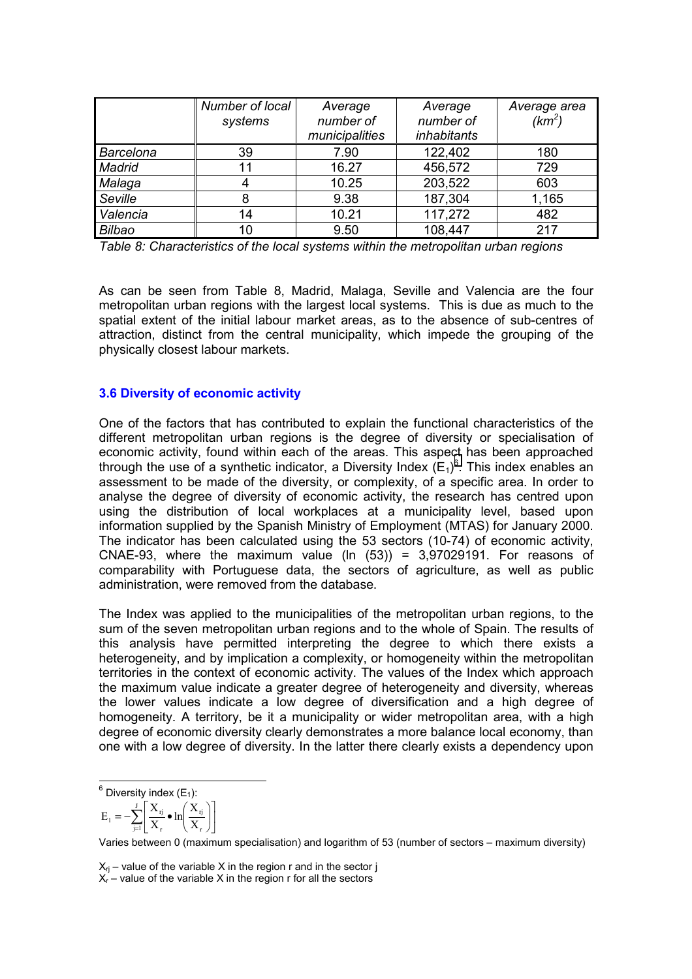|               | Number of local<br>systems | Average<br>number of<br>municipalities | Average<br>number of<br><i>inhabitants</i> | Average area<br>$(km^2)$ |
|---------------|----------------------------|----------------------------------------|--------------------------------------------|--------------------------|
| Barcelona     | 39                         | 7.90                                   | 122,402                                    | 180                      |
| Madrid        | 11                         | 16.27                                  | 456,572                                    | 729                      |
| Malaga        |                            | 10.25                                  | 203,522                                    | 603                      |
| Seville       | 8                          | 9.38                                   | 187,304                                    | 1,165                    |
| Valencia      | 14                         | 10.21                                  | 117,272                                    | 482                      |
| <b>Bilbao</b> | 10                         | 9.50                                   | 108,447                                    | 217                      |

*Table 8: Characteristics of the local systems within the metropolitan urban regions*

As can be seen from Table 8, Madrid, Malaga, Seville and Valencia are the four metropolitan urban regions with the largest local systems. This is due as much to the spatial extent of the initial labour market areas, as to the absence of sub-centres of attraction, distinct from the central municipality, which impede the grouping of the physically closest labour markets.

## **3.6 Diversity of economic activity**

One of the factors that has contributed to explain the functional characteristics of the different metropolitan urban regions is the degree of diversity or specialisation of economic activity, found within each of the areas. This aspect has been approached through the use of a synthetic indicator, a Diversity Index  $(E_1)^6$ . This index enables an assessment to be made of the diversity, or complexity, of a specific area. In order to analyse the degree of diversity of economic activity, the research has centred upon using the distribution of local workplaces at a municipality level, based upon information supplied by the Spanish Ministry of Employment (MTAS) for January 2000. The indicator has been calculated using the 53 sectors (10-74) of economic activity, CNAE-93, where the maximum value (ln  $(53)$ ) = 3,97029191. For reasons of comparability with Portuguese data, the sectors of agriculture, as well as public administration, were removed from the database.

The Index was applied to the municipalities of the metropolitan urban regions, to the sum of the seven metropolitan urban regions and to the whole of Spain. The results of this analysis have permitted interpreting the degree to which there exists a heterogeneity, and by implication a complexity, or homogeneity within the metropolitan territories in the context of economic activity. The values of the Index which approach the maximum value indicate a greater degree of heterogeneity and diversity, whereas the lower values indicate a low degree of diversification and a high degree of homogeneity. A territory, be it a municipality or wider metropolitan area, with a high degree of economic diversity clearly demonstrates a more balance local economy, than one with a low degree of diversity. In the latter there clearly exists a dependency upon

$$
\mathbf{E}_{1} = -\sum_{j=1}^{J} \left[ \frac{\mathbf{X}_{rj}}{\mathbf{X}_{r}} \bullet \ln \left( \frac{\mathbf{X}_{rj}}{\mathbf{X}_{r}} \right) \right]
$$

Varies between 0 (maximum specialisation) and logarithm of 53 (number of sectors – maximum diversity)

 $X_{ri}$  – value of the variable X in the region r and in the sector j  $X_{r}$  – value of the variable X in the region r for all the sectors

 $\overline{\phantom{a}}^6$  Diversity index (E<sub>1</sub>):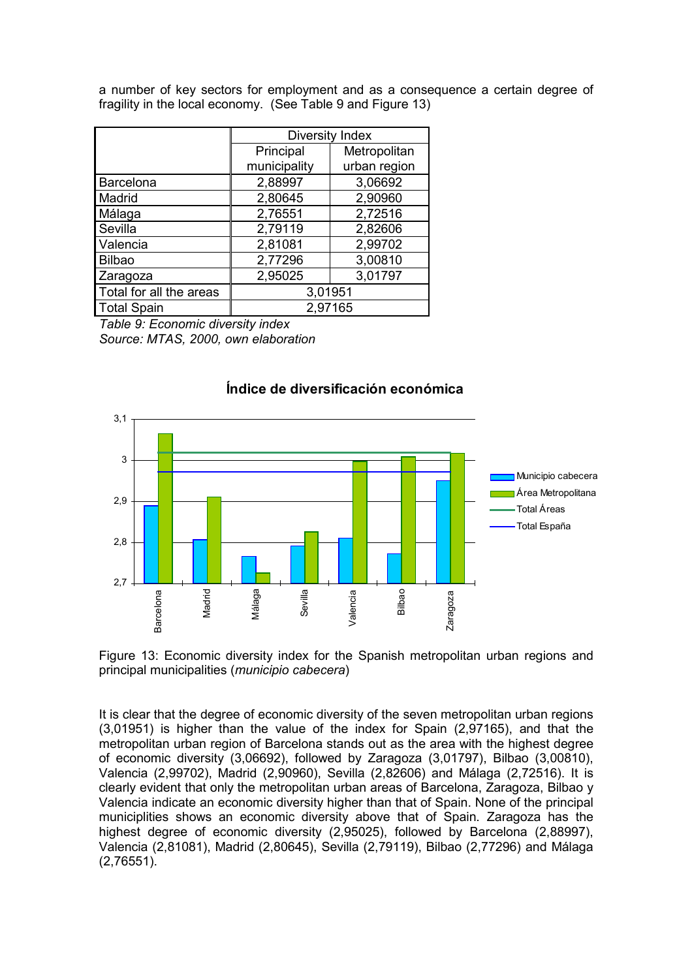a number of key sectors for employment and as a consequence a certain degree of fragility in the local economy. (See Table 9 and Figure 13)

|                         | Diversity Index |              |  |
|-------------------------|-----------------|--------------|--|
|                         | Principal       | Metropolitan |  |
|                         | municipality    | urban region |  |
| Barcelona               | 2,88997         | 3,06692      |  |
| Madrid                  | 2,80645         | 2,90960      |  |
| Málaga                  | 2,76551         | 2,72516      |  |
| Sevilla                 | 2,79119         | 2,82606      |  |
| Valencia                | 2,81081         | 2,99702      |  |
| <b>Bilbao</b>           | 2,77296         | 3,00810      |  |
| Zaragoza                | 2,95025         | 3,01797      |  |
| Total for all the areas | 3,01951         |              |  |
| <b>Total Spain</b>      | 2,97165         |              |  |

*Table 9: Economic diversity index Source: MTAS, 2000, own elaboration*



## **Índice de diversificación económica**

Figure 13: Economic diversity index for the Spanish metropolitan urban regions and principal municipalities (*municipio cabecera*)

It is clear that the degree of economic diversity of the seven metropolitan urban regions (3,01951) is higher than the value of the index for Spain (2,97165), and that the metropolitan urban region of Barcelona stands out as the area with the highest degree of economic diversity (3,06692), followed by Zaragoza (3,01797), Bilbao (3,00810), Valencia (2,99702), Madrid (2,90960), Sevilla (2,82606) and Málaga (2,72516). It is clearly evident that only the metropolitan urban areas of Barcelona, Zaragoza, Bilbao y Valencia indicate an economic diversity higher than that of Spain. None of the principal municiplities shows an economic diversity above that of Spain. Zaragoza has the highest degree of economic diversity (2,95025), followed by Barcelona (2,88997), Valencia (2,81081), Madrid (2,80645), Sevilla (2,79119), Bilbao (2,77296) and Málaga (2,76551).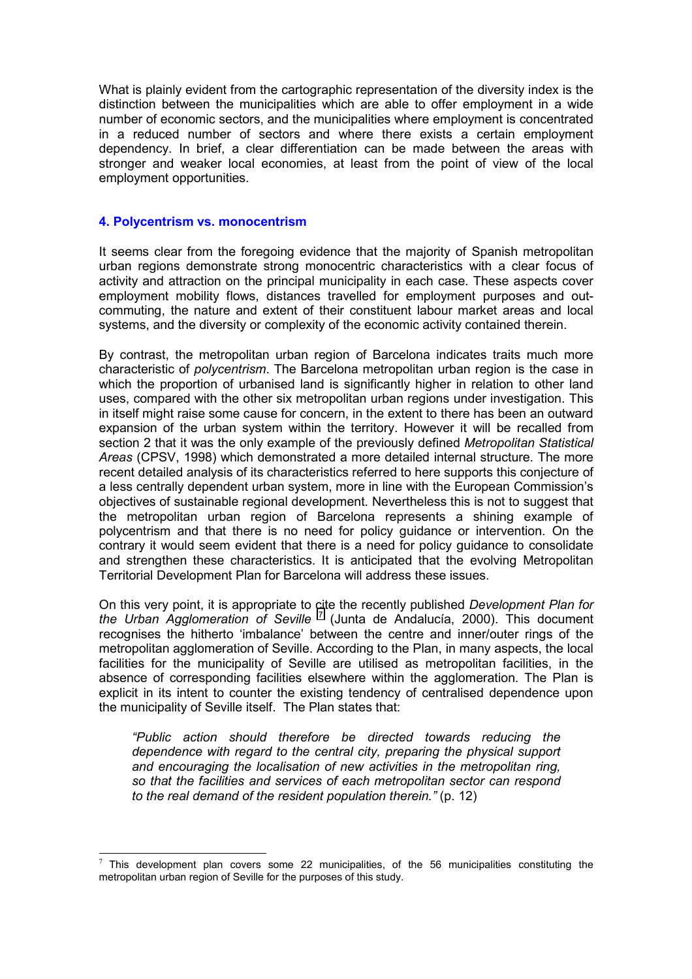What is plainly evident from the cartographic representation of the diversity index is the distinction between the municipalities which are able to offer employment in a wide number of economic sectors, and the municipalities where employment is concentrated in a reduced number of sectors and where there exists a certain employment dependency. In brief, a clear differentiation can be made between the areas with stronger and weaker local economies, at least from the point of view of the local employment opportunities.

### **4. Polycentrism vs. monocentrism**

 $\overline{\phantom{a}}$ 

It seems clear from the foregoing evidence that the majority of Spanish metropolitan urban regions demonstrate strong monocentric characteristics with a clear focus of activity and attraction on the principal municipality in each case. These aspects cover employment mobility flows, distances travelled for employment purposes and outcommuting, the nature and extent of their constituent labour market areas and local systems, and the diversity or complexity of the economic activity contained therein.

By contrast, the metropolitan urban region of Barcelona indicates traits much more characteristic of *polycentrism*. The Barcelona metropolitan urban region is the case in which the proportion of urbanised land is significantly higher in relation to other land uses, compared with the other six metropolitan urban regions under investigation. This in itself might raise some cause for concern, in the extent to there has been an outward expansion of the urban system within the territory. However it will be recalled from section 2 that it was the only example of the previously defined *Metropolitan Statistical Areas* (CPSV, 1998) which demonstrated a more detailed internal structure. The more recent detailed analysis of its characteristics referred to here supports this conjecture of a less centrally dependent urban system, more in line with the European Commission's objectives of sustainable regional development. Nevertheless this is not to suggest that the metropolitan urban region of Barcelona represents a shining example of polycentrism and that there is no need for policy guidance or intervention. On the contrary it would seem evident that there is a need for policy guidance to consolidate and strengthen these characteristics. It is anticipated that the evolving Metropolitan Territorial Development Plan for Barcelona will address these issues.

On this very point, it is appropriate to cite the recently published *Development Plan for the Urban Agglomeration of Seville* <sup>7</sup> (Junta de Andalucía, 2000). This document recognises the hitherto 'imbalance' between the centre and inner/outer rings of the metropolitan agglomeration of Seville. According to the Plan, in many aspects, the local facilities for the municipality of Seville are utilised as metropolitan facilities, in the absence of corresponding facilities elsewhere within the agglomeration. The Plan is explicit in its intent to counter the existing tendency of centralised dependence upon the municipality of Seville itself. The Plan states that:

*"Public action should therefore be directed towards reducing the dependence with regard to the central city, preparing the physical support and encouraging the localisation of new activities in the metropolitan ring, so that the facilities and services of each metropolitan sector can respond to the real demand of the resident population therein."* (p. 12)

 $<sup>7</sup>$  This development plan covers some 22 municipalities, of the 56 municipalities constituting the</sup> metropolitan urban region of Seville for the purposes of this study.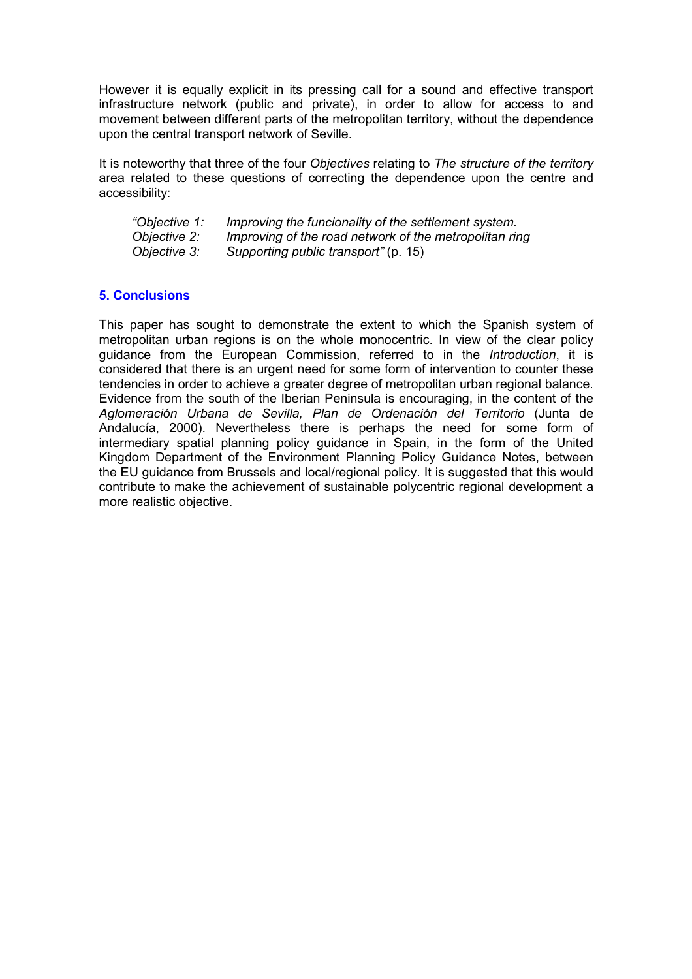However it is equally explicit in its pressing call for a sound and effective transport infrastructure network (public and private), in order to allow for access to and movement between different parts of the metropolitan territory, without the dependence upon the central transport network of Seville.

It is noteworthy that three of the four *Objectives* relating to *The structure of the territory* area related to these questions of correcting the dependence upon the centre and accessibility:

| "Objective 1: | Improving the funcionality of the settlement system.   |
|---------------|--------------------------------------------------------|
| Objective 2:  | Improving of the road network of the metropolitan ring |
| Objective 3:  | Supporting public transport" (p. 15)                   |

## **5. Conclusions**

This paper has sought to demonstrate the extent to which the Spanish system of metropolitan urban regions is on the whole monocentric. In view of the clear policy guidance from the European Commission, referred to in the *Introduction*, it is considered that there is an urgent need for some form of intervention to counter these tendencies in order to achieve a greater degree of metropolitan urban regional balance. Evidence from the south of the Iberian Peninsula is encouraging, in the content of the *Aglomeración Urbana de Sevilla, Plan de Ordenación del Territorio* (Junta de Andalucía, 2000). Nevertheless there is perhaps the need for some form of intermediary spatial planning policy guidance in Spain, in the form of the United Kingdom Department of the Environment Planning Policy Guidance Notes, between the EU guidance from Brussels and local/regional policy. It is suggested that this would contribute to make the achievement of sustainable polycentric regional development a more realistic objective.